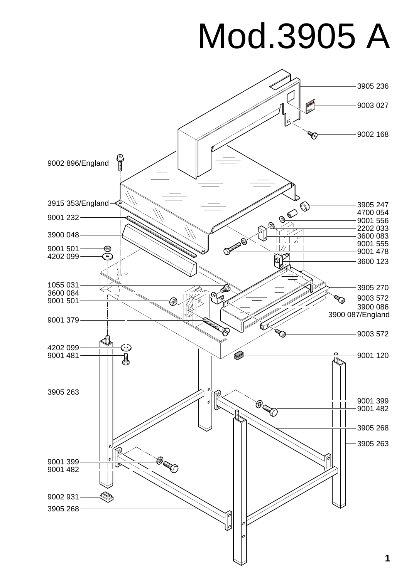## Mod.3905 A

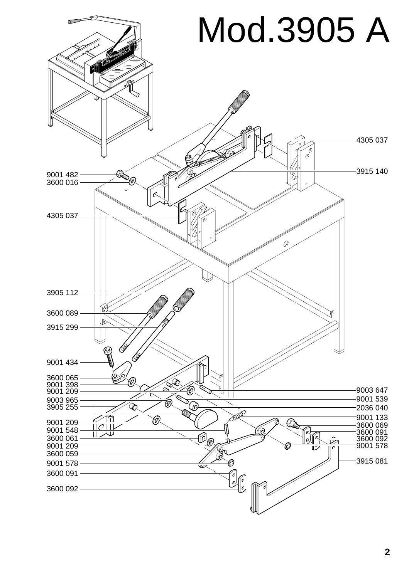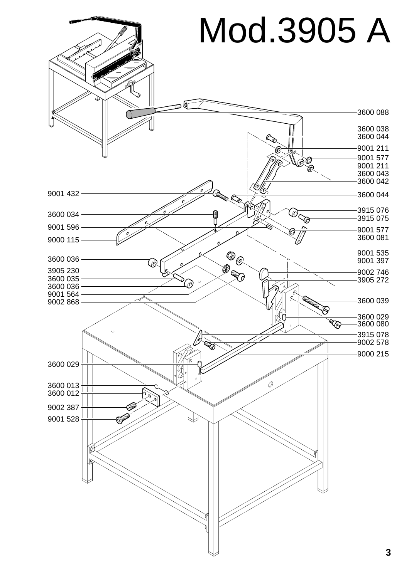